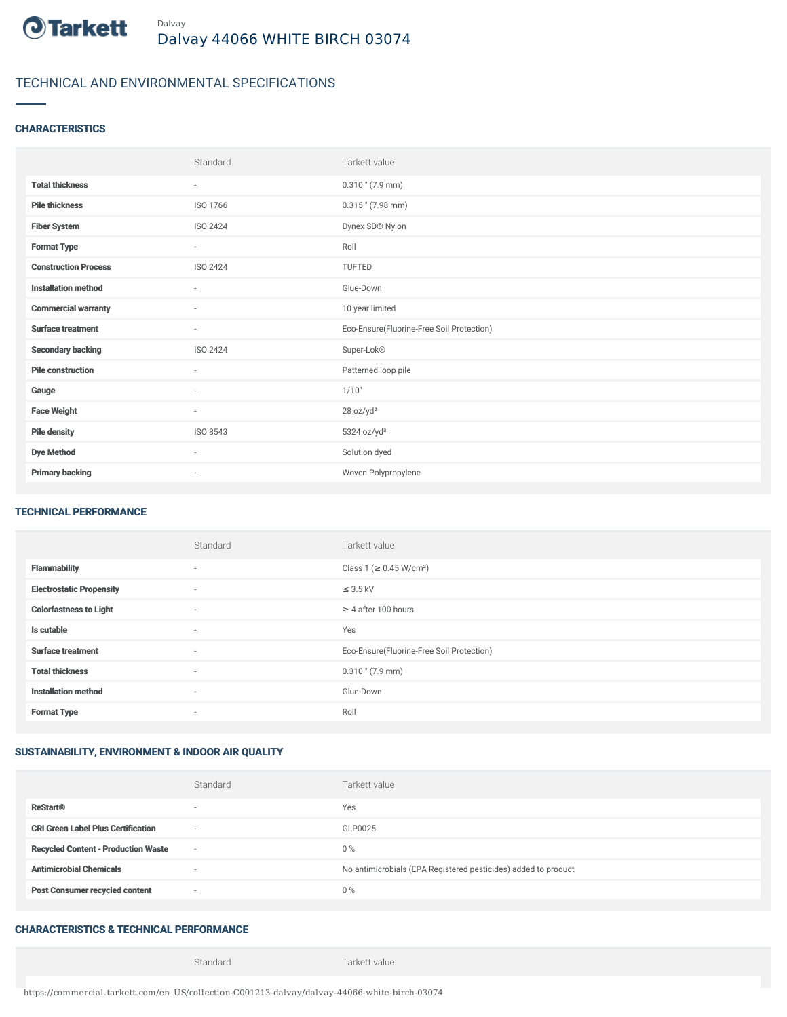

# TECHNICAL AND ENVIRONMENTAL SPECIFICATIONS

### **CHARACTERISTICS**

|                             | Standard                 | Tarkett value                             |
|-----------------------------|--------------------------|-------------------------------------------|
| <b>Total thickness</b>      | $\sim$                   | $0.310$ " (7.9 mm)                        |
| <b>Pile thickness</b>       | ISO 1766                 | $0.315$ " (7.98 mm)                       |
| <b>Fiber System</b>         | ISO 2424                 | Dynex SD® Nylon                           |
| <b>Format Type</b>          | ٠                        | Roll                                      |
| <b>Construction Process</b> | ISO 2424                 | <b>TUFTED</b>                             |
| <b>Installation method</b>  | $\overline{\phantom{a}}$ | Glue-Down                                 |
| <b>Commercial warranty</b>  | ٠                        | 10 year limited                           |
| <b>Surface treatment</b>    | $\sim$                   | Eco-Ensure(Fluorine-Free Soil Protection) |
| <b>Secondary backing</b>    | ISO 2424                 | Super-Lok®                                |
| <b>Pile construction</b>    | ×.                       | Patterned loop pile                       |
| Gauge                       | ٠                        | 1/10"                                     |
| <b>Face Weight</b>          | $\sim$                   | 28 oz/yd <sup>2</sup>                     |
| <b>Pile density</b>         | ISO 8543                 | $5324$ oz/yd <sup>3</sup>                 |
| <b>Dye Method</b>           | $\sim$                   | Solution dyed                             |
| <b>Primary backing</b>      | $\sim$                   | Woven Polypropylene                       |

#### TECHNICAL PERFORMANCE

|                                 | Standard                 | Tarkett value                             |
|---------------------------------|--------------------------|-------------------------------------------|
| <b>Flammability</b>             | $\overline{\phantom{a}}$ | Class 1 ( $\geq$ 0.45 W/cm <sup>2</sup> ) |
| <b>Electrostatic Propensity</b> | $\overline{\phantom{a}}$ | $\leq$ 3.5 kV                             |
| <b>Colorfastness to Light</b>   | $\overline{\phantom{a}}$ | $\geq 4$ after 100 hours                  |
| Is cutable                      | $\overline{\phantom{a}}$ | Yes                                       |
| <b>Surface treatment</b>        | $\sim$                   | Eco-Ensure(Fluorine-Free Soil Protection) |
| <b>Total thickness</b>          | $\overline{\phantom{a}}$ | $0.310$ " (7.9 mm)                        |
| <b>Installation method</b>      | $\sim$                   | Glue-Down                                 |
| <b>Format Type</b>              | $\overline{\phantom{a}}$ | Roll                                      |

### SUSTAINABILITY, ENVIRONMENT & INDOOR AIR QUALITY

|                                            | Standard                 | Tarkett value                                                  |
|--------------------------------------------|--------------------------|----------------------------------------------------------------|
| <b>ReStart®</b>                            | $\overline{\phantom{a}}$ | Yes                                                            |
| <b>CRI Green Label Plus Certification</b>  | $\sim$                   | GLP0025                                                        |
| <b>Recycled Content - Production Waste</b> | $\sim$                   | $0\%$                                                          |
| <b>Antimicrobial Chemicals</b>             |                          | No antimicrobials (EPA Registered pesticides) added to product |
| <b>Post Consumer recycled content</b>      | $\sim$                   | $0\%$                                                          |

## CHARACTERISTICS & TECHNICAL PERFORMANCE

Standard Tarkett value